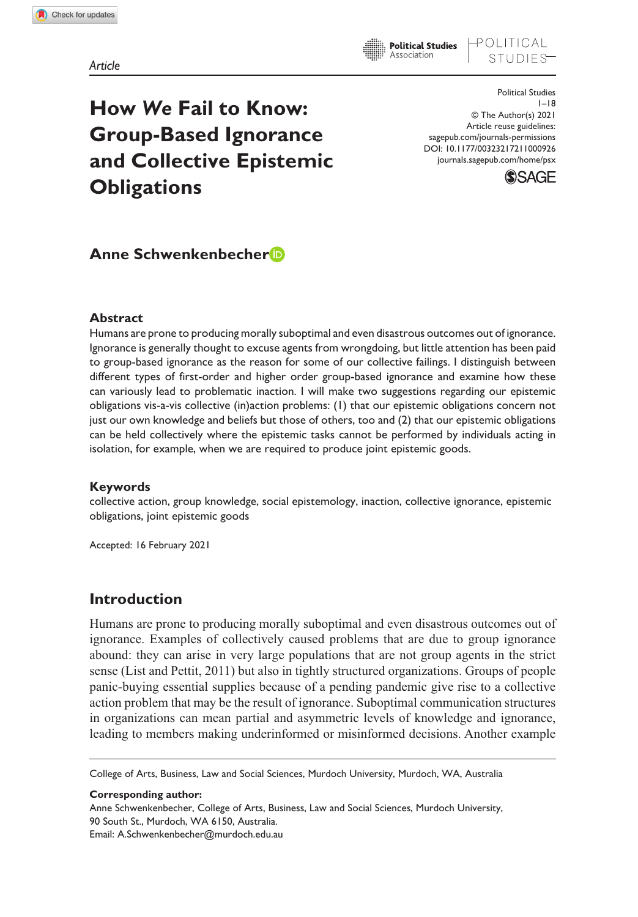OLITICAL

# **How** *We* **Fail to Know: Group-Based Ignorance and Collective Epistemic Obligations**

DOI: 10.1177/00323217211000926 Political Studies  $1 - 18$ © The Author(s) 2021 Article reuse guidelines: [sagepub.com/journals-permissions](https://uk.sagepub.com/en-gb/journals-permissions) [journals.sagepub.com/home/psx](https://journals.sagepub.com/home/psx)



# **Anne Schwenkenbecher**

## **Abstract**

Humans are prone to producing morally suboptimal and even disastrous outcomes out of ignorance. Ignorance is generally thought to excuse agents from wrongdoing, but little attention has been paid to group-based ignorance as the reason for some of our collective failings. I distinguish between different types of first-order and higher order group-based ignorance and examine how these can variously lead to problematic inaction. I will make two suggestions regarding our epistemic obligations vis-a-vis collective (in)action problems: (1) that our epistemic obligations concern not just our own knowledge and beliefs but those of others, too and (2) that our epistemic obligations can be held collectively where the epistemic tasks cannot be performed by individuals acting in isolation, for example, when we are required to produce joint epistemic goods.

## **Keywords**

collective action, group knowledge, social epistemology, inaction, collective ignorance, epistemic obligations, joint epistemic goods

Accepted: 16 February 2021

# **Introduction**

Humans are prone to producing morally suboptimal and even disastrous outcomes out of ignorance. Examples of collectively caused problems that are due to group ignorance abound: they can arise in very large populations that are not group agents in the strict sense (List and Pettit, 2011) but also in tightly structured organizations. Groups of people panic-buying essential supplies because of a pending pandemic give rise to a collective action problem that may be the result of ignorance. Suboptimal communication structures in organizations can mean partial and asymmetric levels of knowledge and ignorance, leading to members making underinformed or misinformed decisions. Another example

College of Arts, Business, Law and Social Sciences, Murdoch University, Murdoch, WA, Australia

**Corresponding author:**

Anne Schwenkenbecher, College of Arts, Business, Law and Social Sciences, Murdoch University, 90 South St., Murdoch, WA 6150, Australia. Email: [A.Schwenkenbecher@murdoch.edu.au](mailto:A.Schwenkenbecher@murdoch.edu.au)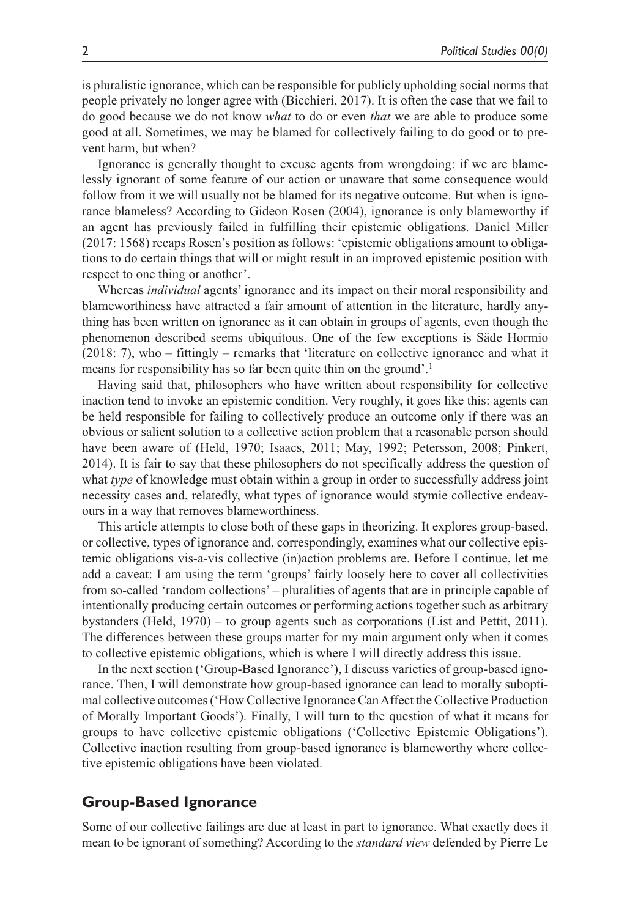is pluralistic ignorance, which can be responsible for publicly upholding social norms that people privately no longer agree with (Bicchieri, 2017). It is often the case that we fail to do good because we do not know *what* to do or even *that* we are able to produce some good at all. Sometimes, we may be blamed for collectively failing to do good or to prevent harm, but when?

Ignorance is generally thought to excuse agents from wrongdoing: if we are blamelessly ignorant of some feature of our action or unaware that some consequence would follow from it we will usually not be blamed for its negative outcome. But when is ignorance blameless? According to Gideon Rosen (2004), ignorance is only blameworthy if an agent has previously failed in fulfilling their epistemic obligations. Daniel Miller (2017: 1568) recaps Rosen's position as follows: 'epistemic obligations amount to obligations to do certain things that will or might result in an improved epistemic position with respect to one thing or another'.

Whereas *individual* agents' ignorance and its impact on their moral responsibility and blameworthiness have attracted a fair amount of attention in the literature, hardly anything has been written on ignorance as it can obtain in groups of agents, even though the phenomenon described seems ubiquitous. One of the few exceptions is Säde Hormio (2018: 7), who – fittingly – remarks that 'literature on collective ignorance and what it means for responsibility has so far been quite thin on the ground'.<sup>1</sup>

Having said that, philosophers who have written about responsibility for collective inaction tend to invoke an epistemic condition. Very roughly, it goes like this: agents can be held responsible for failing to collectively produce an outcome only if there was an obvious or salient solution to a collective action problem that a reasonable person should have been aware of (Held, 1970; Isaacs, 2011; May, 1992; Petersson, 2008; Pinkert, 2014). It is fair to say that these philosophers do not specifically address the question of what *type* of knowledge must obtain within a group in order to successfully address joint necessity cases and, relatedly, what types of ignorance would stymie collective endeavours in a way that removes blameworthiness.

This article attempts to close both of these gaps in theorizing. It explores group-based, or collective, types of ignorance and, correspondingly, examines what our collective epistemic obligations vis-a-vis collective (in)action problems are. Before I continue, let me add a caveat: I am using the term 'groups' fairly loosely here to cover all collectivities from so-called 'random collections' – pluralities of agents that are in principle capable of intentionally producing certain outcomes or performing actions together such as arbitrary bystanders (Held, 1970) – to group agents such as corporations (List and Pettit, 2011). The differences between these groups matter for my main argument only when it comes to collective epistemic obligations, which is where I will directly address this issue.

In the next section ('Group-Based Ignorance'), I discuss varieties of group-based ignorance. Then, I will demonstrate how group-based ignorance can lead to morally suboptimal collective outcomes ('How Collective Ignorance Can Affect the Collective Production of Morally Important Goods'). Finally, I will turn to the question of what it means for groups to have collective epistemic obligations ('Collective Epistemic Obligations'). Collective inaction resulting from group-based ignorance is blameworthy where collective epistemic obligations have been violated.

# **Group-Based Ignorance**

Some of our collective failings are due at least in part to ignorance. What exactly does it mean to be ignorant of something? According to the *standard view* defended by Pierre Le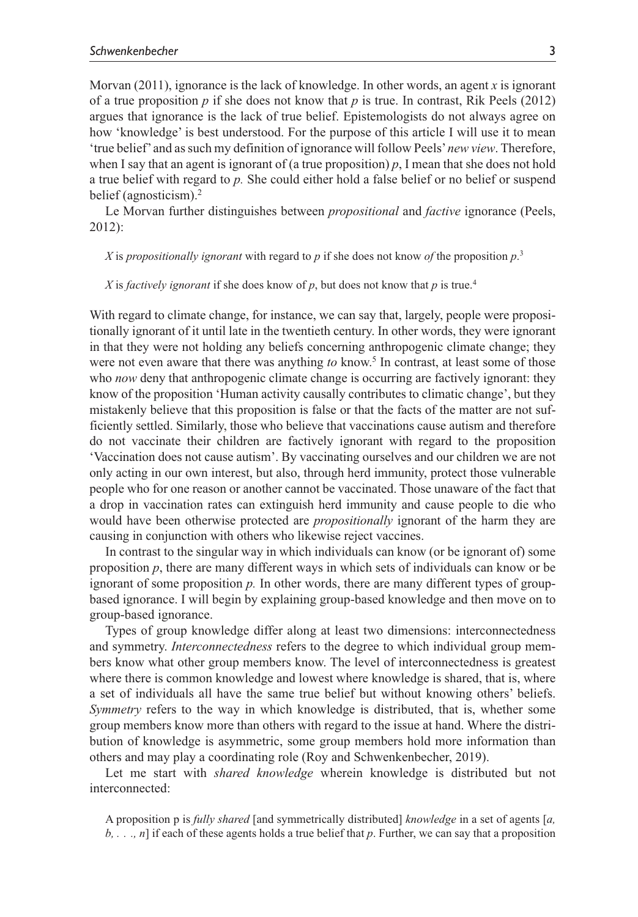Morvan (2011), ignorance is the lack of knowledge. In other words, an agent *x* is ignorant of a true proposition  $p$  if she does not know that  $p$  is true. In contrast, Rik Peels (2012) argues that ignorance is the lack of true belief. Epistemologists do not always agree on how 'knowledge' is best understood. For the purpose of this article I will use it to mean 'true belief' and as such my definition of ignorance will follow Peels' *new view*. Therefore, when I say that an agent is ignorant of (a true proposition) *p*, I mean that she does not hold a true belief with regard to *p.* She could either hold a false belief or no belief or suspend belief (agnosticism).<sup>2</sup>

Le Morvan further distinguishes between *propositional* and *factive* ignorance (Peels, 2012):

*X* is *propositionally ignorant* with regard to *p* if she does not know *of* the proposition *p*. 3

*X* is *factively ignorant* if she does know of  $p$ , but does not know that  $p$  is true.<sup>4</sup>

With regard to climate change, for instance, we can say that, largely, people were propositionally ignorant of it until late in the twentieth century. In other words, they were ignorant in that they were not holding any beliefs concerning anthropogenic climate change; they were not even aware that there was anything to know.<sup>5</sup> In contrast, at least some of those who *now* deny that anthropogenic climate change is occurring are factively ignorant: they know of the proposition 'Human activity causally contributes to climatic change', but they mistakenly believe that this proposition is false or that the facts of the matter are not sufficiently settled. Similarly, those who believe that vaccinations cause autism and therefore do not vaccinate their children are factively ignorant with regard to the proposition 'Vaccination does not cause autism'. By vaccinating ourselves and our children we are not only acting in our own interest, but also, through herd immunity, protect those vulnerable people who for one reason or another cannot be vaccinated. Those unaware of the fact that a drop in vaccination rates can extinguish herd immunity and cause people to die who would have been otherwise protected are *propositionally* ignorant of the harm they are causing in conjunction with others who likewise reject vaccines.

In contrast to the singular way in which individuals can know (or be ignorant of) some proposition *p*, there are many different ways in which sets of individuals can know or be ignorant of some proposition *p.* In other words, there are many different types of groupbased ignorance. I will begin by explaining group-based knowledge and then move on to group-based ignorance.

Types of group knowledge differ along at least two dimensions: interconnectedness and symmetry. *Interconnectedness* refers to the degree to which individual group members know what other group members know. The level of interconnectedness is greatest where there is common knowledge and lowest where knowledge is shared, that is, where a set of individuals all have the same true belief but without knowing others' beliefs. *Symmetry* refers to the way in which knowledge is distributed, that is, whether some group members know more than others with regard to the issue at hand. Where the distribution of knowledge is asymmetric, some group members hold more information than others and may play a coordinating role (Roy and Schwenkenbecher, 2019).

Let me start with *shared knowledge* wherein knowledge is distributed but not interconnected:

A proposition p is *fully shared* [and symmetrically distributed] *knowledge* in a set of agents [*a, b, . . ., n*] if each of these agents holds a true belief that *p*. Further, we can say that a proposition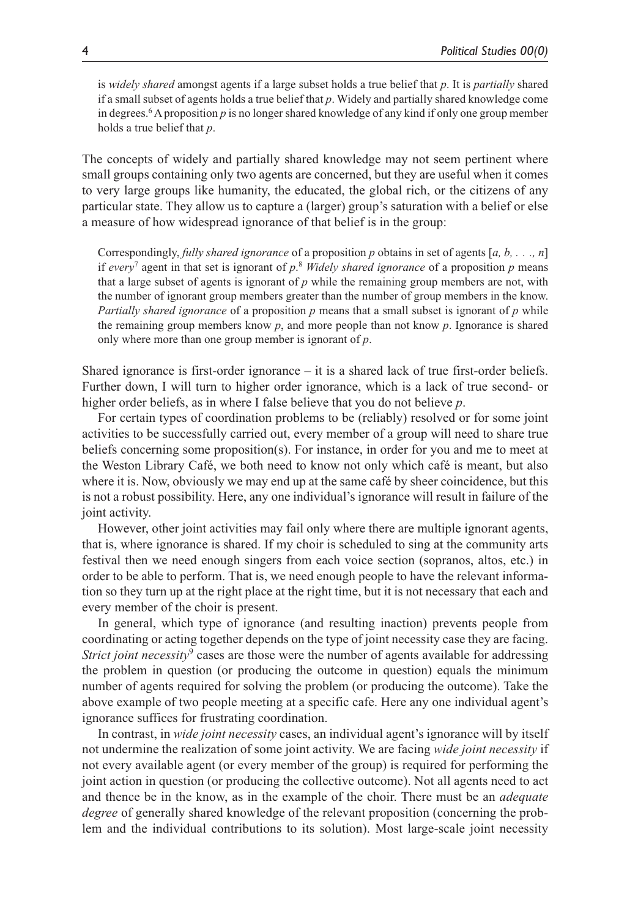is *widely shared* amongst agents if a large subset holds a true belief that *p*. It is *partially* shared if a small subset of agents holds a true belief that *p*. Widely and partially shared knowledge come in degrees.6 A proposition *p* is no longer shared knowledge of any kind if only one group member holds a true belief that *p*.

The concepts of widely and partially shared knowledge may not seem pertinent where small groups containing only two agents are concerned, but they are useful when it comes to very large groups like humanity, the educated, the global rich, or the citizens of any particular state. They allow us to capture a (larger) group's saturation with a belief or else a measure of how widespread ignorance of that belief is in the group:

Correspondingly, *fully shared ignorance* of a proposition *p* obtains in set of agents [*a, b, . . ., n*] if *every*<sup>7</sup> agent in that set is ignorant of *p*. <sup>8</sup> *Widely shared ignorance* of a proposition *p* means that a large subset of agents is ignorant of *p* while the remaining group members are not, with the number of ignorant group members greater than the number of group members in the know. *Partially shared ignorance* of a proposition *p* means that a small subset is ignorant of *p* while the remaining group members know *p*, and more people than not know *p*. Ignorance is shared only where more than one group member is ignorant of *p*.

Shared ignorance is first-order ignorance – it is a shared lack of true first-order beliefs. Further down, I will turn to higher order ignorance, which is a lack of true second- or higher order beliefs, as in where I false believe that you do not believe *p*.

For certain types of coordination problems to be (reliably) resolved or for some joint activities to be successfully carried out, every member of a group will need to share true beliefs concerning some proposition(s). For instance, in order for you and me to meet at the Weston Library Café, we both need to know not only which café is meant, but also where it is. Now, obviously we may end up at the same café by sheer coincidence, but this is not a robust possibility. Here, any one individual's ignorance will result in failure of the joint activity.

However, other joint activities may fail only where there are multiple ignorant agents, that is, where ignorance is shared. If my choir is scheduled to sing at the community arts festival then we need enough singers from each voice section (sopranos, altos, etc.) in order to be able to perform. That is, we need enough people to have the relevant information so they turn up at the right place at the right time, but it is not necessary that each and every member of the choir is present.

In general, which type of ignorance (and resulting inaction) prevents people from coordinating or acting together depends on the type of joint necessity case they are facing. Strict joint necessity<sup>9</sup> cases are those were the number of agents available for addressing the problem in question (or producing the outcome in question) equals the minimum number of agents required for solving the problem (or producing the outcome). Take the above example of two people meeting at a specific cafe. Here any one individual agent's ignorance suffices for frustrating coordination.

In contrast, in *wide joint necessity* cases, an individual agent's ignorance will by itself not undermine the realization of some joint activity. We are facing *wide joint necessity* if not every available agent (or every member of the group) is required for performing the joint action in question (or producing the collective outcome). Not all agents need to act and thence be in the know, as in the example of the choir. There must be an *adequate degree* of generally shared knowledge of the relevant proposition (concerning the problem and the individual contributions to its solution). Most large-scale joint necessity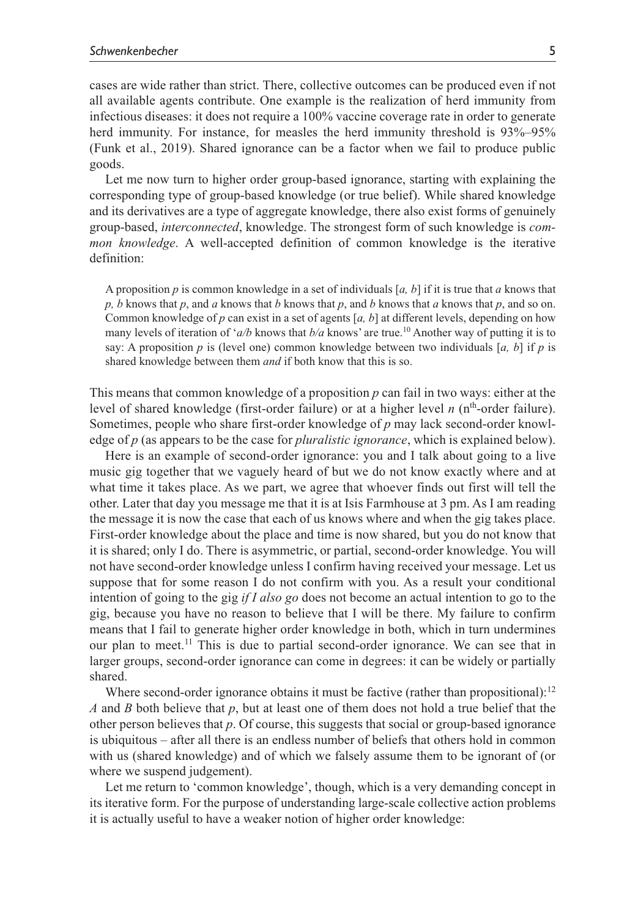cases are wide rather than strict. There, collective outcomes can be produced even if not all available agents contribute. One example is the realization of herd immunity from infectious diseases: it does not require a 100% vaccine coverage rate in order to generate herd immunity. For instance, for measles the herd immunity threshold is  $93\% - 95\%$ (Funk et al., 2019). Shared ignorance can be a factor when we fail to produce public goods.

Let me now turn to higher order group-based ignorance, starting with explaining the corresponding type of group-based knowledge (or true belief). While shared knowledge and its derivatives are a type of aggregate knowledge, there also exist forms of genuinely group-based, *interconnected*, knowledge. The strongest form of such knowledge is *common knowledge*. A well-accepted definition of common knowledge is the iterative definition:

A proposition *p* is common knowledge in a set of individuals [*a, b*] if it is true that *a* knows that *p, b* knows that *p*, and *a* knows that *b* knows that *p*, and *b* knows that *a* knows that *p*, and so on. Common knowledge of *p* can exist in a set of agents [*a, b*] at different levels, depending on how many levels of iteration of '*a/b* knows that  $b/a$  knows' are true.<sup>10</sup> Another way of putting it is to say: A proposition  $p$  is (level one) common knowledge between two individuals  $[a, b]$  if  $p$  is shared knowledge between them *and* if both know that this is so.

This means that common knowledge of a proposition *p* can fail in two ways: either at the level of shared knowledge (first-order failure) or at a higher level *n* (nth-order failure). Sometimes, people who share first-order knowledge of *p* may lack second-order knowledge of *p* (as appears to be the case for *pluralistic ignorance*, which is explained below).

Here is an example of second-order ignorance: you and I talk about going to a live music gig together that we vaguely heard of but we do not know exactly where and at what time it takes place. As we part, we agree that whoever finds out first will tell the other. Later that day you message me that it is at Isis Farmhouse at 3 pm. As I am reading the message it is now the case that each of us knows where and when the gig takes place. First-order knowledge about the place and time is now shared, but you do not know that it is shared; only I do. There is asymmetric, or partial, second-order knowledge. You will not have second-order knowledge unless I confirm having received your message. Let us suppose that for some reason I do not confirm with you. As a result your conditional intention of going to the gig *if I also go* does not become an actual intention to go to the gig, because you have no reason to believe that I will be there. My failure to confirm means that I fail to generate higher order knowledge in both, which in turn undermines our plan to meet.<sup>11</sup> This is due to partial second-order ignorance. We can see that in larger groups, second-order ignorance can come in degrees: it can be widely or partially shared.

Where second-order ignorance obtains it must be factive (rather than propositional): $12$ *A* and *B* both believe that *p*, but at least one of them does not hold a true belief that the other person believes that *p*. Of course, this suggests that social or group-based ignorance is ubiquitous – after all there is an endless number of beliefs that others hold in common with us (shared knowledge) and of which we falsely assume them to be ignorant of (or where we suspend judgement).

Let me return to 'common knowledge', though, which is a very demanding concept in its iterative form. For the purpose of understanding large-scale collective action problems it is actually useful to have a weaker notion of higher order knowledge: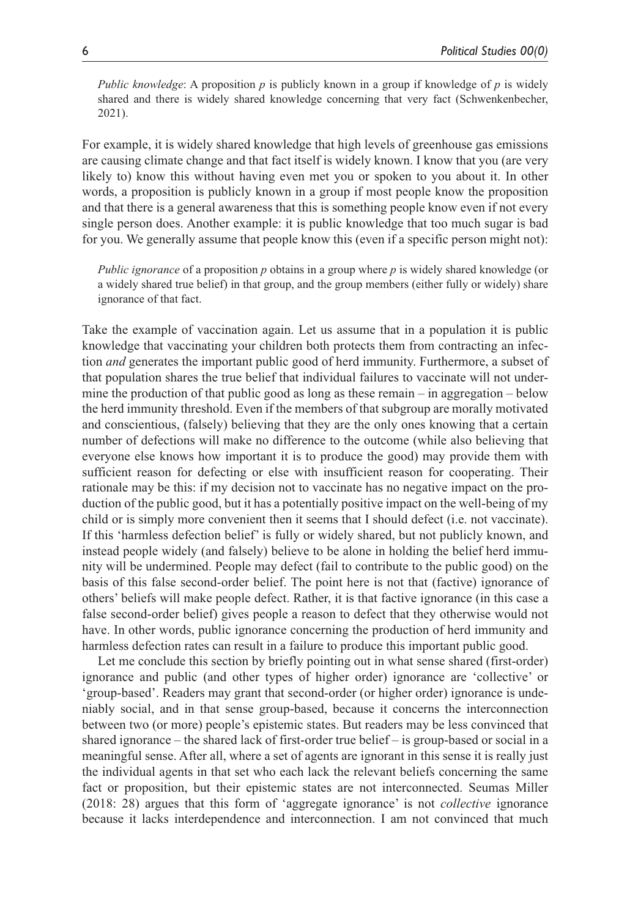*Public knowledge*: A proposition *p* is publicly known in a group if knowledge of *p* is widely shared and there is widely shared knowledge concerning that very fact (Schwenkenbecher, 2021).

For example, it is widely shared knowledge that high levels of greenhouse gas emissions are causing climate change and that fact itself is widely known. I know that you (are very likely to) know this without having even met you or spoken to you about it. In other words, a proposition is publicly known in a group if most people know the proposition and that there is a general awareness that this is something people know even if not every single person does. Another example: it is public knowledge that too much sugar is bad for you. We generally assume that people know this (even if a specific person might not):

*Public ignorance* of a proposition *p* obtains in a group where *p* is widely shared knowledge (or a widely shared true belief) in that group, and the group members (either fully or widely) share ignorance of that fact.

Take the example of vaccination again. Let us assume that in a population it is public knowledge that vaccinating your children both protects them from contracting an infection *and* generates the important public good of herd immunity. Furthermore, a subset of that population shares the true belief that individual failures to vaccinate will not undermine the production of that public good as long as these remain – in aggregation – below the herd immunity threshold. Even if the members of that subgroup are morally motivated and conscientious, (falsely) believing that they are the only ones knowing that a certain number of defections will make no difference to the outcome (while also believing that everyone else knows how important it is to produce the good) may provide them with sufficient reason for defecting or else with insufficient reason for cooperating. Their rationale may be this: if my decision not to vaccinate has no negative impact on the production of the public good, but it has a potentially positive impact on the well-being of my child or is simply more convenient then it seems that I should defect (i.e. not vaccinate). If this 'harmless defection belief' is fully or widely shared, but not publicly known, and instead people widely (and falsely) believe to be alone in holding the belief herd immunity will be undermined. People may defect (fail to contribute to the public good) on the basis of this false second-order belief. The point here is not that (factive) ignorance of others' beliefs will make people defect. Rather, it is that factive ignorance (in this case a false second-order belief) gives people a reason to defect that they otherwise would not have. In other words, public ignorance concerning the production of herd immunity and harmless defection rates can result in a failure to produce this important public good.

Let me conclude this section by briefly pointing out in what sense shared (first-order) ignorance and public (and other types of higher order) ignorance are 'collective' or 'group-based'. Readers may grant that second-order (or higher order) ignorance is undeniably social, and in that sense group-based, because it concerns the interconnection between two (or more) people's epistemic states. But readers may be less convinced that shared ignorance – the shared lack of first-order true belief – is group-based or social in a meaningful sense. After all, where a set of agents are ignorant in this sense it is really just the individual agents in that set who each lack the relevant beliefs concerning the same fact or proposition, but their epistemic states are not interconnected. Seumas Miller (2018: 28) argues that this form of 'aggregate ignorance' is not *collective* ignorance because it lacks interdependence and interconnection. I am not convinced that much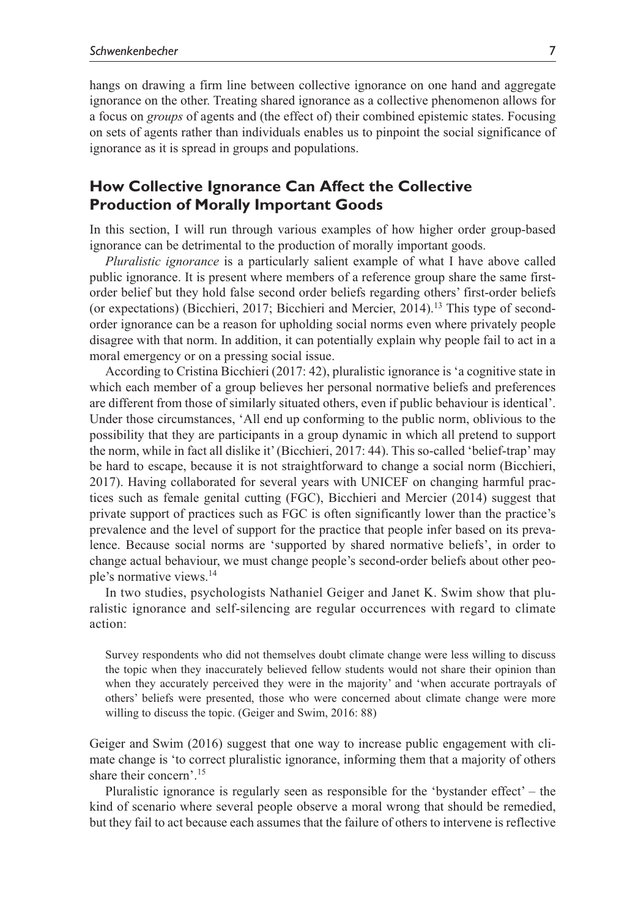hangs on drawing a firm line between collective ignorance on one hand and aggregate ignorance on the other. Treating shared ignorance as a collective phenomenon allows for a focus on *groups* of agents and (the effect of) their combined epistemic states. Focusing on sets of agents rather than individuals enables us to pinpoint the social significance of ignorance as it is spread in groups and populations.

# **How Collective Ignorance Can Affect the Collective Production of Morally Important Goods**

In this section, I will run through various examples of how higher order group-based ignorance can be detrimental to the production of morally important goods.

*Pluralistic ignorance* is a particularly salient example of what I have above called public ignorance. It is present where members of a reference group share the same firstorder belief but they hold false second order beliefs regarding others' first-order beliefs (or expectations) (Bicchieri, 2017; Bicchieri and Mercier, 2014).<sup>13</sup> This type of secondorder ignorance can be a reason for upholding social norms even where privately people disagree with that norm. In addition, it can potentially explain why people fail to act in a moral emergency or on a pressing social issue.

According to Cristina Bicchieri (2017: 42), pluralistic ignorance is 'a cognitive state in which each member of a group believes her personal normative beliefs and preferences are different from those of similarly situated others, even if public behaviour is identical'. Under those circumstances, 'All end up conforming to the public norm, oblivious to the possibility that they are participants in a group dynamic in which all pretend to support the norm, while in fact all dislike it' (Bicchieri, 2017: 44). This so-called 'belief-trap' may be hard to escape, because it is not straightforward to change a social norm (Bicchieri, 2017). Having collaborated for several years with UNICEF on changing harmful practices such as female genital cutting (FGC), Bicchieri and Mercier (2014) suggest that private support of practices such as FGC is often significantly lower than the practice's prevalence and the level of support for the practice that people infer based on its prevalence. Because social norms are 'supported by shared normative beliefs', in order to change actual behaviour, we must change people's second-order beliefs about other people's normative views.14

In two studies, psychologists Nathaniel Geiger and Janet K. Swim show that pluralistic ignorance and self-silencing are regular occurrences with regard to climate action:

Survey respondents who did not themselves doubt climate change were less willing to discuss the topic when they inaccurately believed fellow students would not share their opinion than when they accurately perceived they were in the majority' and 'when accurate portrayals of others' beliefs were presented, those who were concerned about climate change were more willing to discuss the topic. (Geiger and Swim, 2016: 88)

Geiger and Swim (2016) suggest that one way to increase public engagement with climate change is 'to correct pluralistic ignorance, informing them that a majority of others share their concern'.15

Pluralistic ignorance is regularly seen as responsible for the 'bystander effect' – the kind of scenario where several people observe a moral wrong that should be remedied, but they fail to act because each assumes that the failure of others to intervene is reflective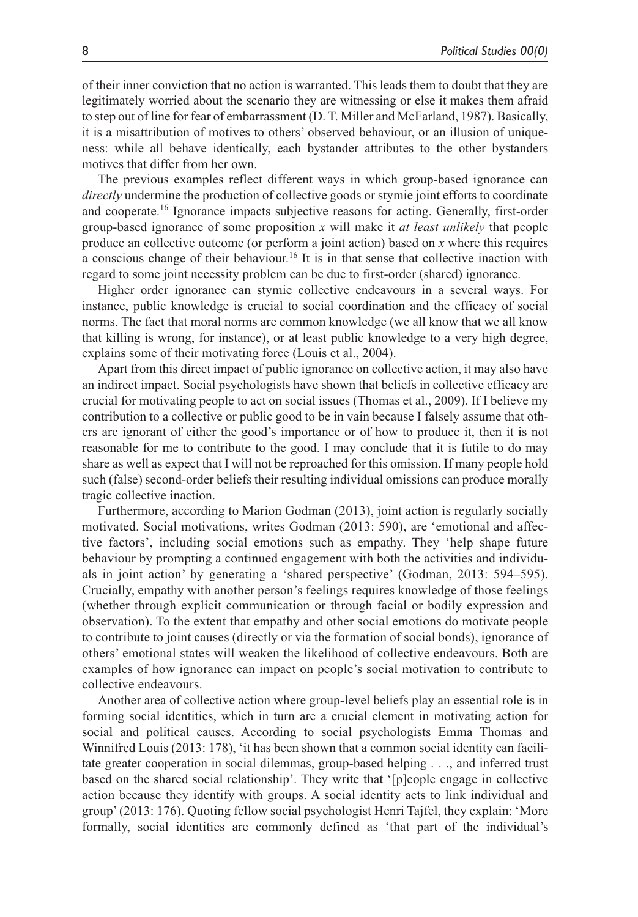of their inner conviction that no action is warranted. This leads them to doubt that they are legitimately worried about the scenario they are witnessing or else it makes them afraid to step out of line for fear of embarrassment (D. T. Miller and McFarland, 1987). Basically, it is a misattribution of motives to others' observed behaviour, or an illusion of uniqueness: while all behave identically, each bystander attributes to the other bystanders motives that differ from her own.

The previous examples reflect different ways in which group-based ignorance can *directly* undermine the production of collective goods or stymie joint efforts to coordinate and cooperate.16 Ignorance impacts subjective reasons for acting. Generally, first-order group-based ignorance of some proposition *x* will make it *at least unlikely* that people produce an collective outcome (or perform a joint action) based on *x* where this requires a conscious change of their behaviour.<sup>16</sup> It is in that sense that collective inaction with regard to some joint necessity problem can be due to first-order (shared) ignorance.

Higher order ignorance can stymie collective endeavours in a several ways. For instance, public knowledge is crucial to social coordination and the efficacy of social norms. The fact that moral norms are common knowledge (we all know that we all know that killing is wrong, for instance), or at least public knowledge to a very high degree, explains some of their motivating force (Louis et al., 2004).

Apart from this direct impact of public ignorance on collective action, it may also have an indirect impact. Social psychologists have shown that beliefs in collective efficacy are crucial for motivating people to act on social issues (Thomas et al., 2009). If I believe my contribution to a collective or public good to be in vain because I falsely assume that others are ignorant of either the good's importance or of how to produce it, then it is not reasonable for me to contribute to the good. I may conclude that it is futile to do may share as well as expect that I will not be reproached for this omission. If many people hold such (false) second-order beliefs their resulting individual omissions can produce morally tragic collective inaction.

Furthermore, according to Marion Godman (2013), joint action is regularly socially motivated. Social motivations, writes Godman (2013: 590), are 'emotional and affective factors', including social emotions such as empathy. They 'help shape future behaviour by prompting a continued engagement with both the activities and individuals in joint action' by generating a 'shared perspective' (Godman, 2013: 594–595). Crucially, empathy with another person's feelings requires knowledge of those feelings (whether through explicit communication or through facial or bodily expression and observation). To the extent that empathy and other social emotions do motivate people to contribute to joint causes (directly or via the formation of social bonds), ignorance of others' emotional states will weaken the likelihood of collective endeavours. Both are examples of how ignorance can impact on people's social motivation to contribute to collective endeavours.

Another area of collective action where group-level beliefs play an essential role is in forming social identities, which in turn are a crucial element in motivating action for social and political causes. According to social psychologists Emma Thomas and Winnifred Louis (2013: 178), 'it has been shown that a common social identity can facilitate greater cooperation in social dilemmas, group-based helping . . ., and inferred trust based on the shared social relationship'. They write that '[p]eople engage in collective action because they identify with groups. A social identity acts to link individual and group' (2013: 176). Quoting fellow social psychologist Henri Tajfel, they explain: 'More formally, social identities are commonly defined as 'that part of the individual's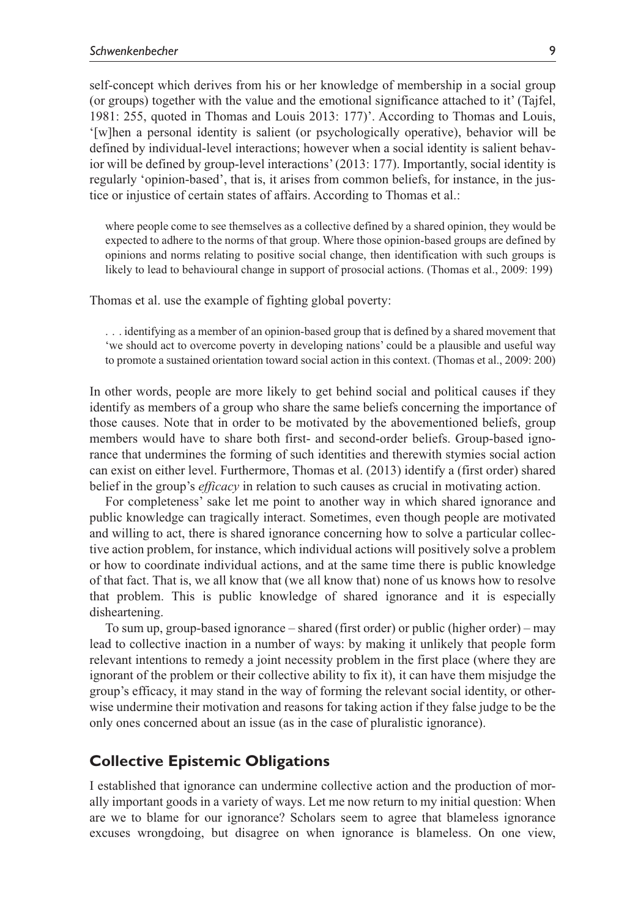self-concept which derives from his or her knowledge of membership in a social group (or groups) together with the value and the emotional significance attached to it' (Tajfel, 1981: 255, quoted in Thomas and Louis 2013: 177)'. According to Thomas and Louis, '[w]hen a personal identity is salient (or psychologically operative), behavior will be defined by individual-level interactions; however when a social identity is salient behavior will be defined by group-level interactions' (2013: 177). Importantly, social identity is regularly 'opinion-based', that is, it arises from common beliefs, for instance, in the justice or injustice of certain states of affairs. According to Thomas et al.:

where people come to see themselves as a collective defined by a shared opinion, they would be expected to adhere to the norms of that group. Where those opinion-based groups are defined by opinions and norms relating to positive social change, then identification with such groups is likely to lead to behavioural change in support of prosocial actions. (Thomas et al., 2009: 199)

Thomas et al. use the example of fighting global poverty:

. . . identifying as a member of an opinion-based group that is defined by a shared movement that 'we should act to overcome poverty in developing nations' could be a plausible and useful way to promote a sustained orientation toward social action in this context. (Thomas et al., 2009: 200)

In other words, people are more likely to get behind social and political causes if they identify as members of a group who share the same beliefs concerning the importance of those causes. Note that in order to be motivated by the abovementioned beliefs, group members would have to share both first- and second-order beliefs. Group-based ignorance that undermines the forming of such identities and therewith stymies social action can exist on either level. Furthermore, Thomas et al. (2013) identify a (first order) shared belief in the group's *efficacy* in relation to such causes as crucial in motivating action.

For completeness' sake let me point to another way in which shared ignorance and public knowledge can tragically interact. Sometimes, even though people are motivated and willing to act, there is shared ignorance concerning how to solve a particular collective action problem, for instance, which individual actions will positively solve a problem or how to coordinate individual actions, and at the same time there is public knowledge of that fact. That is, we all know that (we all know that) none of us knows how to resolve that problem. This is public knowledge of shared ignorance and it is especially disheartening.

To sum up, group-based ignorance – shared (first order) or public (higher order) – may lead to collective inaction in a number of ways: by making it unlikely that people form relevant intentions to remedy a joint necessity problem in the first place (where they are ignorant of the problem or their collective ability to fix it), it can have them misjudge the group's efficacy, it may stand in the way of forming the relevant social identity, or otherwise undermine their motivation and reasons for taking action if they false judge to be the only ones concerned about an issue (as in the case of pluralistic ignorance).

## **Collective Epistemic Obligations**

I established that ignorance can undermine collective action and the production of morally important goods in a variety of ways. Let me now return to my initial question: When are we to blame for our ignorance? Scholars seem to agree that blameless ignorance excuses wrongdoing, but disagree on when ignorance is blameless. On one view,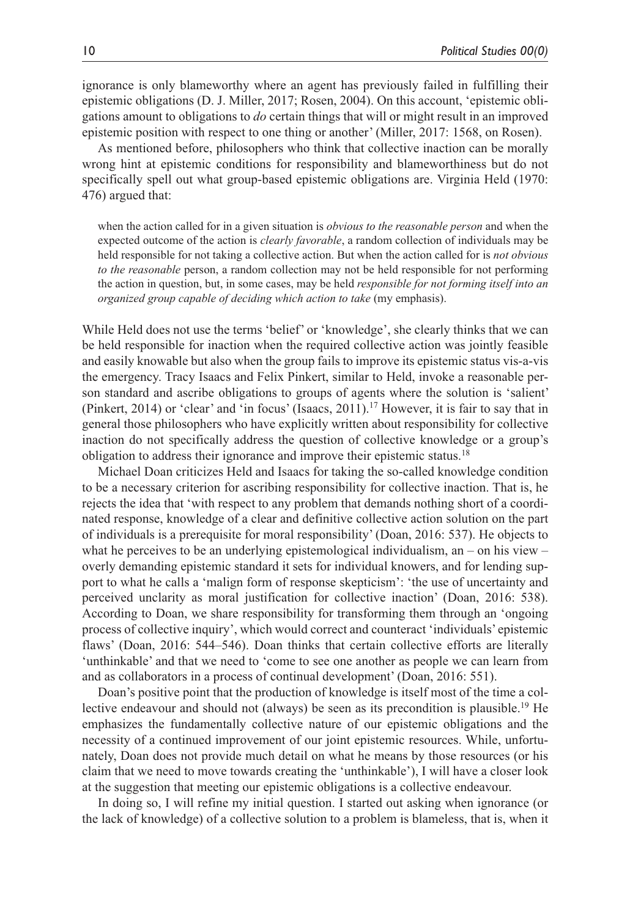ignorance is only blameworthy where an agent has previously failed in fulfilling their epistemic obligations (D. J. Miller, 2017; Rosen, 2004). On this account, 'epistemic obligations amount to obligations to *do* certain things that will or might result in an improved epistemic position with respect to one thing or another' (Miller, 2017: 1568, on Rosen).

As mentioned before, philosophers who think that collective inaction can be morally wrong hint at epistemic conditions for responsibility and blameworthiness but do not specifically spell out what group-based epistemic obligations are. Virginia Held (1970: 476) argued that:

when the action called for in a given situation is *obvious to the reasonable person* and when the expected outcome of the action is *clearly favorable*, a random collection of individuals may be held responsible for not taking a collective action. But when the action called for is *not obvious to the reasonable* person, a random collection may not be held responsible for not performing the action in question, but, in some cases, may be held *responsible for not forming itself into an organized group capable of deciding which action to take* (my emphasis).

While Held does not use the terms 'belief' or 'knowledge', she clearly thinks that we can be held responsible for inaction when the required collective action was jointly feasible and easily knowable but also when the group fails to improve its epistemic status vis-a-vis the emergency. Tracy Isaacs and Felix Pinkert, similar to Held, invoke a reasonable person standard and ascribe obligations to groups of agents where the solution is 'salient' (Pinkert, 2014) or 'clear' and 'in focus' (Isaacs, 2011).17 However, it is fair to say that in general those philosophers who have explicitly written about responsibility for collective inaction do not specifically address the question of collective knowledge or a group's obligation to address their ignorance and improve their epistemic status.18

Michael Doan criticizes Held and Isaacs for taking the so-called knowledge condition to be a necessary criterion for ascribing responsibility for collective inaction. That is, he rejects the idea that 'with respect to any problem that demands nothing short of a coordinated response, knowledge of a clear and definitive collective action solution on the part of individuals is a prerequisite for moral responsibility' (Doan, 2016: 537). He objects to what he perceives to be an underlying epistemological individualism, an – on his view – overly demanding epistemic standard it sets for individual knowers, and for lending support to what he calls a 'malign form of response skepticism': 'the use of uncertainty and perceived unclarity as moral justification for collective inaction' (Doan, 2016: 538). According to Doan, we share responsibility for transforming them through an 'ongoing process of collective inquiry', which would correct and counteract 'individuals' epistemic flaws' (Doan, 2016: 544–546). Doan thinks that certain collective efforts are literally 'unthinkable' and that we need to 'come to see one another as people we can learn from and as collaborators in a process of continual development' (Doan, 2016: 551).

Doan's positive point that the production of knowledge is itself most of the time a collective endeavour and should not (always) be seen as its precondition is plausible.19 He emphasizes the fundamentally collective nature of our epistemic obligations and the necessity of a continued improvement of our joint epistemic resources. While, unfortunately, Doan does not provide much detail on what he means by those resources (or his claim that we need to move towards creating the 'unthinkable'), I will have a closer look at the suggestion that meeting our epistemic obligations is a collective endeavour.

In doing so, I will refine my initial question. I started out asking when ignorance (or the lack of knowledge) of a collective solution to a problem is blameless, that is, when it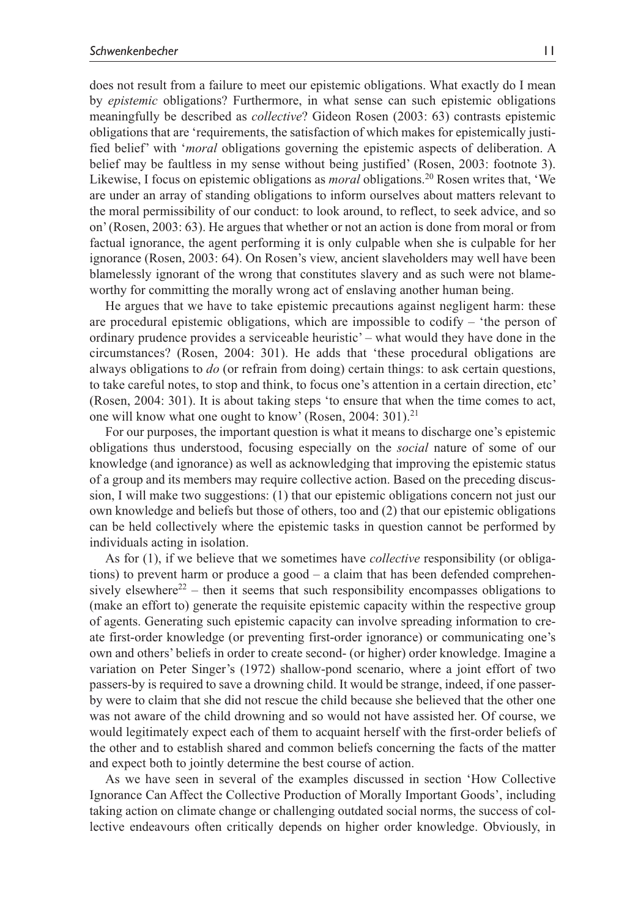does not result from a failure to meet our epistemic obligations. What exactly do I mean by *epistemic* obligations? Furthermore, in what sense can such epistemic obligations meaningfully be described as *collective*? Gideon Rosen (2003: 63) contrasts epistemic obligations that are 'requirements, the satisfaction of which makes for epistemically justified belief' with '*moral* obligations governing the epistemic aspects of deliberation. A belief may be faultless in my sense without being justified' (Rosen, 2003: footnote 3). Likewise, I focus on epistemic obligations as *moral* obligations.20 Rosen writes that, 'We are under an array of standing obligations to inform ourselves about matters relevant to the moral permissibility of our conduct: to look around, to reflect, to seek advice, and so on' (Rosen, 2003: 63). He argues that whether or not an action is done from moral or from factual ignorance, the agent performing it is only culpable when she is culpable for her ignorance (Rosen, 2003: 64). On Rosen's view, ancient slaveholders may well have been blamelessly ignorant of the wrong that constitutes slavery and as such were not blameworthy for committing the morally wrong act of enslaving another human being.

He argues that we have to take epistemic precautions against negligent harm: these are procedural epistemic obligations, which are impossible to codify – 'the person of ordinary prudence provides a serviceable heuristic' – what would they have done in the circumstances? (Rosen, 2004: 301). He adds that 'these procedural obligations are always obligations to *do* (or refrain from doing) certain things: to ask certain questions, to take careful notes, to stop and think, to focus one's attention in a certain direction, etc' (Rosen, 2004: 301). It is about taking steps 'to ensure that when the time comes to act, one will know what one ought to know' (Rosen, 2004: 301).<sup>21</sup>

For our purposes, the important question is what it means to discharge one's epistemic obligations thus understood, focusing especially on the *social* nature of some of our knowledge (and ignorance) as well as acknowledging that improving the epistemic status of a group and its members may require collective action. Based on the preceding discussion, I will make two suggestions: (1) that our epistemic obligations concern not just our own knowledge and beliefs but those of others, too and (2) that our epistemic obligations can be held collectively where the epistemic tasks in question cannot be performed by individuals acting in isolation.

As for (1), if we believe that we sometimes have *collective* responsibility (or obligations) to prevent harm or produce a good – a claim that has been defended comprehensively elsewhere<sup>22</sup> – then it seems that such responsibility encompasses obligations to (make an effort to) generate the requisite epistemic capacity within the respective group of agents. Generating such epistemic capacity can involve spreading information to create first-order knowledge (or preventing first-order ignorance) or communicating one's own and others' beliefs in order to create second- (or higher) order knowledge. Imagine a variation on Peter Singer's (1972) shallow-pond scenario, where a joint effort of two passers-by is required to save a drowning child. It would be strange, indeed, if one passerby were to claim that she did not rescue the child because she believed that the other one was not aware of the child drowning and so would not have assisted her. Of course, we would legitimately expect each of them to acquaint herself with the first-order beliefs of the other and to establish shared and common beliefs concerning the facts of the matter and expect both to jointly determine the best course of action.

As we have seen in several of the examples discussed in section 'How Collective Ignorance Can Affect the Collective Production of Morally Important Goods', including taking action on climate change or challenging outdated social norms, the success of collective endeavours often critically depends on higher order knowledge. Obviously, in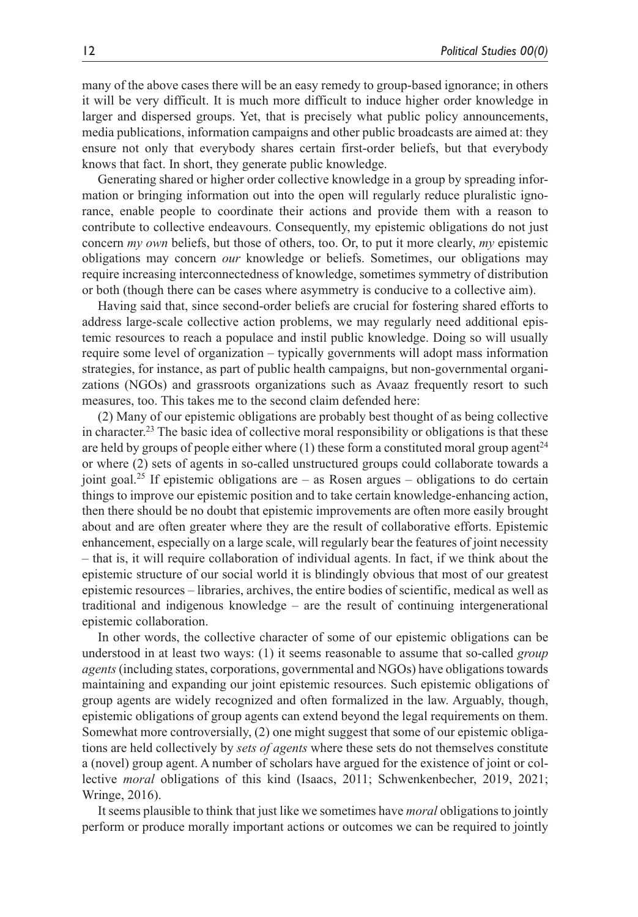many of the above cases there will be an easy remedy to group-based ignorance; in others it will be very difficult. It is much more difficult to induce higher order knowledge in larger and dispersed groups. Yet, that is precisely what public policy announcements, media publications, information campaigns and other public broadcasts are aimed at: they ensure not only that everybody shares certain first-order beliefs, but that everybody knows that fact. In short, they generate public knowledge.

Generating shared or higher order collective knowledge in a group by spreading information or bringing information out into the open will regularly reduce pluralistic ignorance, enable people to coordinate their actions and provide them with a reason to contribute to collective endeavours. Consequently, my epistemic obligations do not just concern *my own* beliefs, but those of others, too. Or, to put it more clearly, *my* epistemic obligations may concern *our* knowledge or beliefs. Sometimes, our obligations may require increasing interconnectedness of knowledge, sometimes symmetry of distribution or both (though there can be cases where asymmetry is conducive to a collective aim).

Having said that, since second-order beliefs are crucial for fostering shared efforts to address large-scale collective action problems, we may regularly need additional epistemic resources to reach a populace and instil public knowledge. Doing so will usually require some level of organization – typically governments will adopt mass information strategies, for instance, as part of public health campaigns, but non-governmental organizations (NGOs) and grassroots organizations such as Avaaz frequently resort to such measures, too. This takes me to the second claim defended here:

(2) Many of our epistemic obligations are probably best thought of as being collective in character.<sup>23</sup> The basic idea of collective moral responsibility or obligations is that these are held by groups of people either where  $(1)$  these form a constituted moral group agent<sup>24</sup> or where (2) sets of agents in so-called unstructured groups could collaborate towards a joint goal.<sup>25</sup> If epistemic obligations are  $-$  as Rosen argues  $-$  obligations to do certain things to improve our epistemic position and to take certain knowledge-enhancing action, then there should be no doubt that epistemic improvements are often more easily brought about and are often greater where they are the result of collaborative efforts. Epistemic enhancement, especially on a large scale, will regularly bear the features of joint necessity – that is, it will require collaboration of individual agents. In fact, if we think about the epistemic structure of our social world it is blindingly obvious that most of our greatest epistemic resources – libraries, archives, the entire bodies of scientific, medical as well as traditional and indigenous knowledge – are the result of continuing intergenerational epistemic collaboration.

In other words, the collective character of some of our epistemic obligations can be understood in at least two ways: (1) it seems reasonable to assume that so-called *group agents* (including states, corporations, governmental and NGOs) have obligations towards maintaining and expanding our joint epistemic resources. Such epistemic obligations of group agents are widely recognized and often formalized in the law. Arguably, though, epistemic obligations of group agents can extend beyond the legal requirements on them. Somewhat more controversially, (2) one might suggest that some of our epistemic obligations are held collectively by *sets of agents* where these sets do not themselves constitute a (novel) group agent. A number of scholars have argued for the existence of joint or collective *moral* obligations of this kind (Isaacs, 2011; Schwenkenbecher, 2019, 2021; Wringe, 2016).

It seems plausible to think that just like we sometimes have *moral* obligations to jointly perform or produce morally important actions or outcomes we can be required to jointly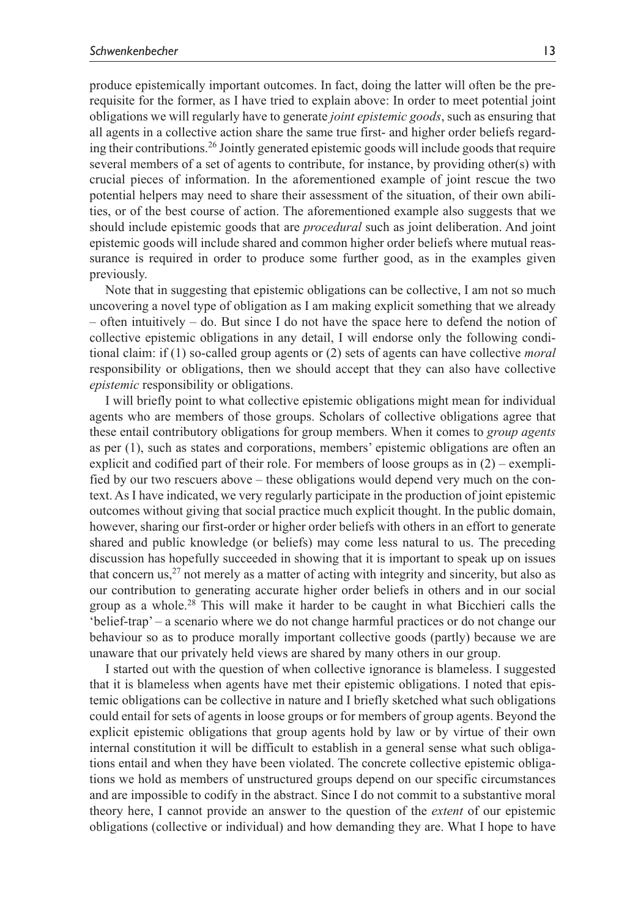produce epistemically important outcomes. In fact, doing the latter will often be the prerequisite for the former, as I have tried to explain above: In order to meet potential joint obligations we will regularly have to generate *joint epistemic goods*, such as ensuring that all agents in a collective action share the same true first- and higher order beliefs regarding their contributions.26 Jointly generated epistemic goods will include goods that require several members of a set of agents to contribute, for instance, by providing other(s) with crucial pieces of information. In the aforementioned example of joint rescue the two potential helpers may need to share their assessment of the situation, of their own abilities, or of the best course of action. The aforementioned example also suggests that we should include epistemic goods that are *procedural* such as joint deliberation. And joint epistemic goods will include shared and common higher order beliefs where mutual reassurance is required in order to produce some further good, as in the examples given previously.

Note that in suggesting that epistemic obligations can be collective, I am not so much uncovering a novel type of obligation as I am making explicit something that we already – often intuitively – do. But since I do not have the space here to defend the notion of collective epistemic obligations in any detail, I will endorse only the following conditional claim: if (1) so-called group agents or (2) sets of agents can have collective *moral* responsibility or obligations, then we should accept that they can also have collective *epistemic* responsibility or obligations.

I will briefly point to what collective epistemic obligations might mean for individual agents who are members of those groups. Scholars of collective obligations agree that these entail contributory obligations for group members. When it comes to *group agents* as per (1), such as states and corporations, members' epistemic obligations are often an explicit and codified part of their role. For members of loose groups as in (2) – exemplified by our two rescuers above – these obligations would depend very much on the context. As I have indicated, we very regularly participate in the production of joint epistemic outcomes without giving that social practice much explicit thought. In the public domain, however, sharing our first-order or higher order beliefs with others in an effort to generate shared and public knowledge (or beliefs) may come less natural to us. The preceding discussion has hopefully succeeded in showing that it is important to speak up on issues that concern us,<sup>27</sup> not merely as a matter of acting with integrity and sincerity, but also as our contribution to generating accurate higher order beliefs in others and in our social group as a whole.<sup>28</sup> This will make it harder to be caught in what Bicchieri calls the 'belief-trap' – a scenario where we do not change harmful practices or do not change our behaviour so as to produce morally important collective goods (partly) because we are unaware that our privately held views are shared by many others in our group.

I started out with the question of when collective ignorance is blameless. I suggested that it is blameless when agents have met their epistemic obligations. I noted that epistemic obligations can be collective in nature and I briefly sketched what such obligations could entail for sets of agents in loose groups or for members of group agents. Beyond the explicit epistemic obligations that group agents hold by law or by virtue of their own internal constitution it will be difficult to establish in a general sense what such obligations entail and when they have been violated. The concrete collective epistemic obligations we hold as members of unstructured groups depend on our specific circumstances and are impossible to codify in the abstract. Since I do not commit to a substantive moral theory here, I cannot provide an answer to the question of the *extent* of our epistemic obligations (collective or individual) and how demanding they are. What I hope to have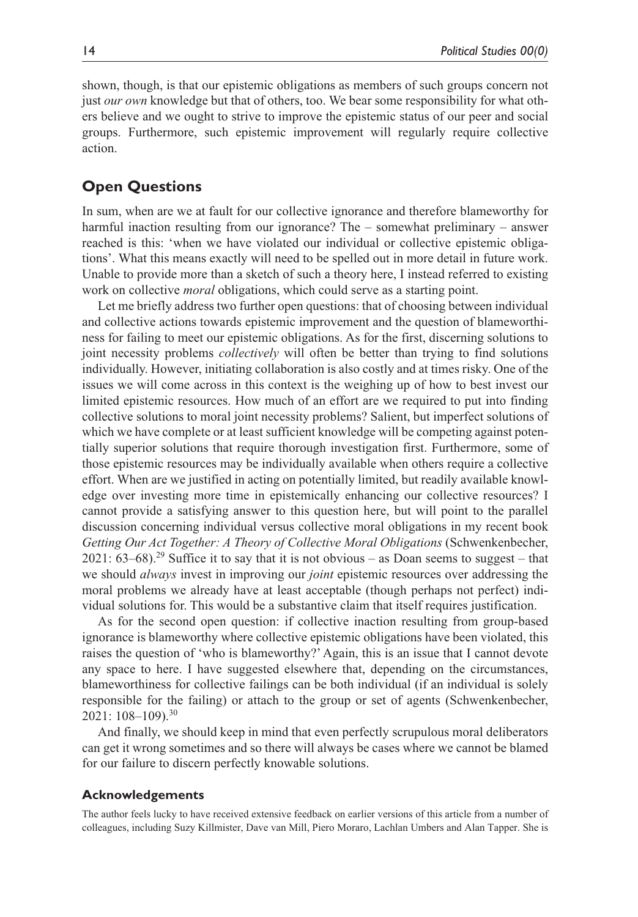shown, though, is that our epistemic obligations as members of such groups concern not just *our own* knowledge but that of others, too. We bear some responsibility for what others believe and we ought to strive to improve the epistemic status of our peer and social groups. Furthermore, such epistemic improvement will regularly require collective action.

## **Open Questions**

In sum, when are we at fault for our collective ignorance and therefore blameworthy for harmful inaction resulting from our ignorance? The – somewhat preliminary – answer reached is this: 'when we have violated our individual or collective epistemic obligations'. What this means exactly will need to be spelled out in more detail in future work. Unable to provide more than a sketch of such a theory here, I instead referred to existing work on collective *moral* obligations, which could serve as a starting point.

Let me briefly address two further open questions: that of choosing between individual and collective actions towards epistemic improvement and the question of blameworthiness for failing to meet our epistemic obligations. As for the first, discerning solutions to joint necessity problems *collectively* will often be better than trying to find solutions individually. However, initiating collaboration is also costly and at times risky. One of the issues we will come across in this context is the weighing up of how to best invest our limited epistemic resources. How much of an effort are we required to put into finding collective solutions to moral joint necessity problems? Salient, but imperfect solutions of which we have complete or at least sufficient knowledge will be competing against potentially superior solutions that require thorough investigation first. Furthermore, some of those epistemic resources may be individually available when others require a collective effort. When are we justified in acting on potentially limited, but readily available knowledge over investing more time in epistemically enhancing our collective resources? I cannot provide a satisfying answer to this question here, but will point to the parallel discussion concerning individual versus collective moral obligations in my recent book *Getting Our Act Together: A Theory of Collective Moral Obligations* (Schwenkenbecher, 2021:  $63-68$ ).<sup>29</sup> Suffice it to say that it is not obvious – as Doan seems to suggest – that we should *always* invest in improving our *joint* epistemic resources over addressing the moral problems we already have at least acceptable (though perhaps not perfect) individual solutions for. This would be a substantive claim that itself requires justification.

As for the second open question: if collective inaction resulting from group-based ignorance is blameworthy where collective epistemic obligations have been violated, this raises the question of 'who is blameworthy?' Again, this is an issue that I cannot devote any space to here. I have suggested elsewhere that, depending on the circumstances, blameworthiness for collective failings can be both individual (if an individual is solely responsible for the failing) or attach to the group or set of agents (Schwenkenbecher, 2021: 108–109).30

And finally, we should keep in mind that even perfectly scrupulous moral deliberators can get it wrong sometimes and so there will always be cases where we cannot be blamed for our failure to discern perfectly knowable solutions.

#### **Acknowledgements**

The author feels lucky to have received extensive feedback on earlier versions of this article from a number of colleagues, including Suzy Killmister, Dave van Mill, Piero Moraro, Lachlan Umbers and Alan Tapper. She is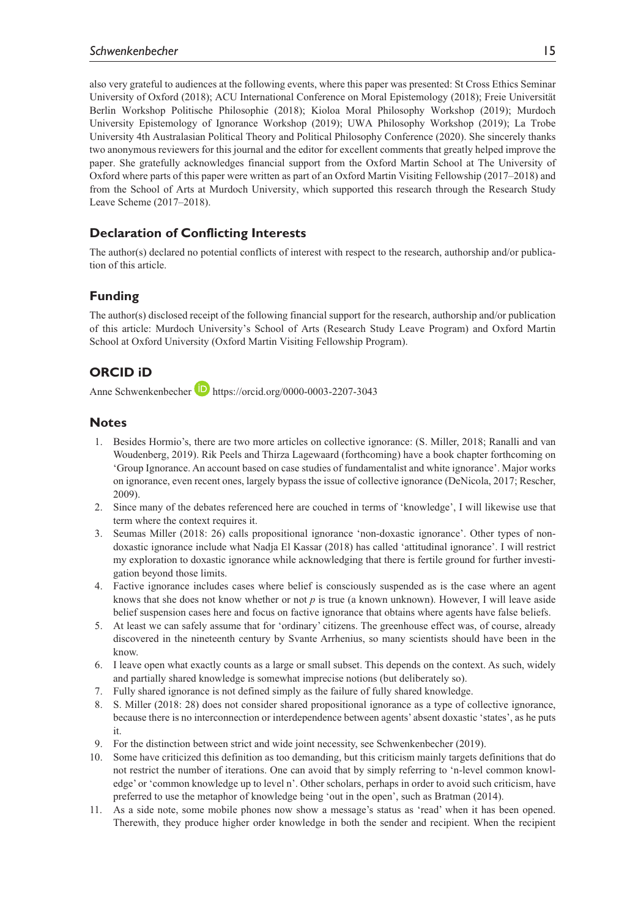#### *Schwenkenbecher* 15

also very grateful to audiences at the following events, where this paper was presented: St Cross Ethics Seminar University of Oxford (2018); ACU International Conference on Moral Epistemology (2018); Freie Universität Berlin Workshop Politische Philosophie (2018); Kioloa Moral Philosophy Workshop (2019); Murdoch University Epistemology of Ignorance Workshop (2019); UWA Philosophy Workshop (2019); La Trobe University 4th Australasian Political Theory and Political Philosophy Conference (2020). She sincerely thanks two anonymous reviewers for this journal and the editor for excellent comments that greatly helped improve the paper. She gratefully acknowledges financial support from the Oxford Martin School at The University of Oxford where parts of this paper were written as part of an Oxford Martin Visiting Fellowship (2017–2018) and from the School of Arts at Murdoch University, which supported this research through the Research Study Leave Scheme (2017–2018).

## **Declaration of Conflicting Interests**

The author(s) declared no potential conflicts of interest with respect to the research, authorship and/or publication of this article.

## **Funding**

The author(s) disclosed receipt of the following financial support for the research, authorship and/or publication of this article: Murdoch University's School of Arts (Research Study Leave Program) and Oxford Martin School at Oxford University (Oxford Martin Visiting Fellowship Program).

## **ORCID iD**

Anne Schwenkenbecher **D** <https://orcid.org/0000-0003-2207-3043>

## **Notes**

- 1. Besides Hormio's, there are two more articles on collective ignorance: (S. Miller, 2018; Ranalli and van Woudenberg, 2019). Rik Peels and Thirza Lagewaard (forthcoming) have a book chapter forthcoming on 'Group Ignorance. An account based on case studies of fundamentalist and white ignorance'. Major works on ignorance, even recent ones, largely bypass the issue of collective ignorance (DeNicola, 2017; Rescher, 2009).
- 2. Since many of the debates referenced here are couched in terms of 'knowledge', I will likewise use that term where the context requires it.
- 3. Seumas Miller (2018: 26) calls propositional ignorance 'non-doxastic ignorance'. Other types of nondoxastic ignorance include what Nadja El Kassar (2018) has called 'attitudinal ignorance'. I will restrict my exploration to doxastic ignorance while acknowledging that there is fertile ground for further investigation beyond those limits.
- 4. Factive ignorance includes cases where belief is consciously suspended as is the case where an agent knows that she does not know whether or not *p* is true (a known unknown). However, I will leave aside belief suspension cases here and focus on factive ignorance that obtains where agents have false beliefs.
- 5. At least we can safely assume that for 'ordinary' citizens. The greenhouse effect was, of course, already discovered in the nineteenth century by Svante Arrhenius, so many scientists should have been in the know.
- 6. I leave open what exactly counts as a large or small subset. This depends on the context. As such, widely and partially shared knowledge is somewhat imprecise notions (but deliberately so).
- 7. Fully shared ignorance is not defined simply as the failure of fully shared knowledge.
- 8. S. Miller (2018: 28) does not consider shared propositional ignorance as a type of collective ignorance, because there is no interconnection or interdependence between agents' absent doxastic 'states', as he puts it.
- 9. For the distinction between strict and wide joint necessity, see Schwenkenbecher (2019).
- 10. Some have criticized this definition as too demanding, but this criticism mainly targets definitions that do not restrict the number of iterations. One can avoid that by simply referring to 'n-level common knowledge' or 'common knowledge up to level n'. Other scholars, perhaps in order to avoid such criticism, have preferred to use the metaphor of knowledge being 'out in the open', such as Bratman (2014).
- 11. As a side note, some mobile phones now show a message's status as 'read' when it has been opened. Therewith, they produce higher order knowledge in both the sender and recipient. When the recipient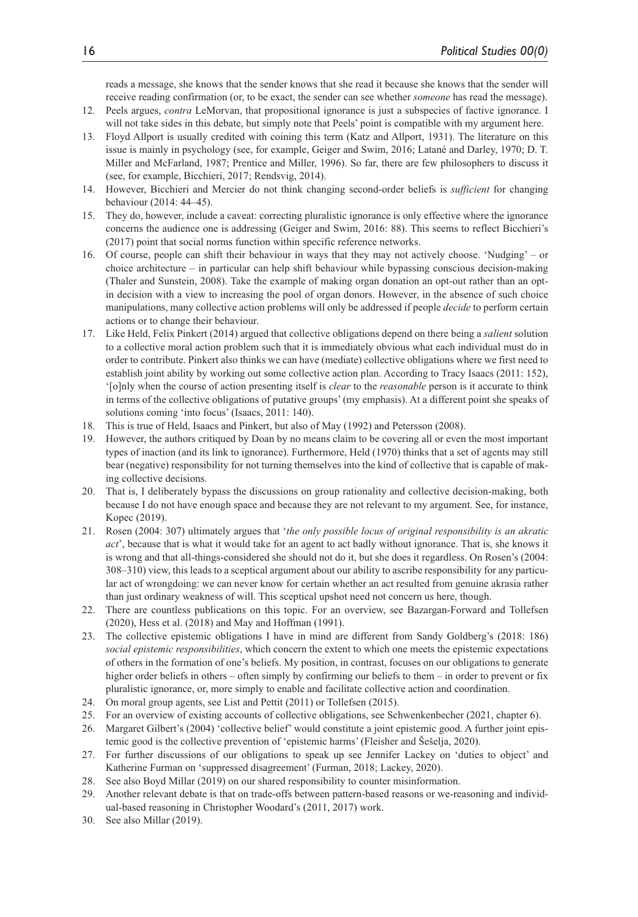reads a message, she knows that the sender knows that she read it because she knows that the sender will receive reading confirmation (or, to be exact, the sender can see whether *someone* has read the message).

- 12. Peels argues, *contra* LeMorvan, that propositional ignorance is just a subspecies of factive ignorance. I will not take sides in this debate, but simply note that Peels' point is compatible with my argument here.
- 13. Floyd Allport is usually credited with coining this term (Katz and Allport, 1931). The literature on this issue is mainly in psychology (see, for example, Geiger and Swim, 2016; Latané and Darley, 1970; D. T. Miller and McFarland, 1987; Prentice and Miller, 1996). So far, there are few philosophers to discuss it (see, for example, Bicchieri, 2017; Rendsvig, 2014).
- 14. However, Bicchieri and Mercier do not think changing second-order beliefs is *sufficient* for changing behaviour (2014: 44–45).
- 15. They do, however, include a caveat: correcting pluralistic ignorance is only effective where the ignorance concerns the audience one is addressing (Geiger and Swim, 2016: 88). This seems to reflect Bicchieri's (2017) point that social norms function within specific reference networks.
- 16. Of course, people can shift their behaviour in ways that they may not actively choose. 'Nudging' or choice architecture – in particular can help shift behaviour while bypassing conscious decision-making (Thaler and Sunstein, 2008). Take the example of making organ donation an opt-out rather than an optin decision with a view to increasing the pool of organ donors. However, in the absence of such choice manipulations, many collective action problems will only be addressed if people *decide* to perform certain actions or to change their behaviour.
- 17. Like Held, Felix Pinkert (2014) argued that collective obligations depend on there being a *salient* solution to a collective moral action problem such that it is immediately obvious what each individual must do in order to contribute. Pinkert also thinks we can have (mediate) collective obligations where we first need to establish joint ability by working out some collective action plan. According to Tracy Isaacs (2011: 152), '[o]nly when the course of action presenting itself is *clear* to the *reasonable* person is it accurate to think in terms of the collective obligations of putative groups' (my emphasis). At a different point she speaks of solutions coming 'into focus' (Isaacs, 2011: 140).
- 18. This is true of Held, Isaacs and Pinkert, but also of May (1992) and Petersson (2008).
- 19. However, the authors critiqued by Doan by no means claim to be covering all or even the most important types of inaction (and its link to ignorance). Furthermore, Held (1970) thinks that a set of agents may still bear (negative) responsibility for not turning themselves into the kind of collective that is capable of making collective decisions.
- 20. That is, I deliberately bypass the discussions on group rationality and collective decision-making, both because I do not have enough space and because they are not relevant to my argument. See, for instance, Kopec (2019).
- 21. Rosen (2004: 307) ultimately argues that '*the only possible locus of original responsibility is an akratic act*', because that is what it would take for an agent to act badly without ignorance. That is, she knows it is wrong and that all-things-considered she should not do it, but she does it regardless. On Rosen's (2004: 308–310) view, this leads to a sceptical argument about our ability to ascribe responsibility for any particular act of wrongdoing: we can never know for certain whether an act resulted from genuine akrasia rather than just ordinary weakness of will. This sceptical upshot need not concern us here, though.
- 22. There are countless publications on this topic. For an overview, see Bazargan-Forward and Tollefsen (2020), Hess et al. (2018) and May and Hoffman (1991).
- 23. The collective epistemic obligations I have in mind are different from Sandy Goldberg's (2018: 186) *social epistemic responsibilities*, which concern the extent to which one meets the epistemic expectations of others in the formation of one's beliefs. My position, in contrast, focuses on our obligations to generate higher order beliefs in others – often simply by confirming our beliefs to them – in order to prevent or fix pluralistic ignorance, or, more simply to enable and facilitate collective action and coordination.
- 24. On moral group agents, see List and Pettit (2011) or Tollefsen (2015).
- 25. For an overview of existing accounts of collective obligations, see Schwenkenbecher (2021, chapter 6).
- 26. Margaret Gilbert's (2004) 'collective belief' would constitute a joint epistemic good. A further joint epistemic good is the collective prevention of 'epistemic harms' (Fleisher and Šešelja, 2020).
- 27. For further discussions of our obligations to speak up see Jennifer Lackey on 'duties to object' and Katherine Furman on 'suppressed disagreement' (Furman, 2018; Lackey, 2020).
- 28. See also Boyd Millar (2019) on our shared responsibility to counter misinformation.
- 29. Another relevant debate is that on trade-offs between pattern-based reasons or we-reasoning and individual-based reasoning in Christopher Woodard's (2011, 2017) work.
- 30. See also Millar (2019).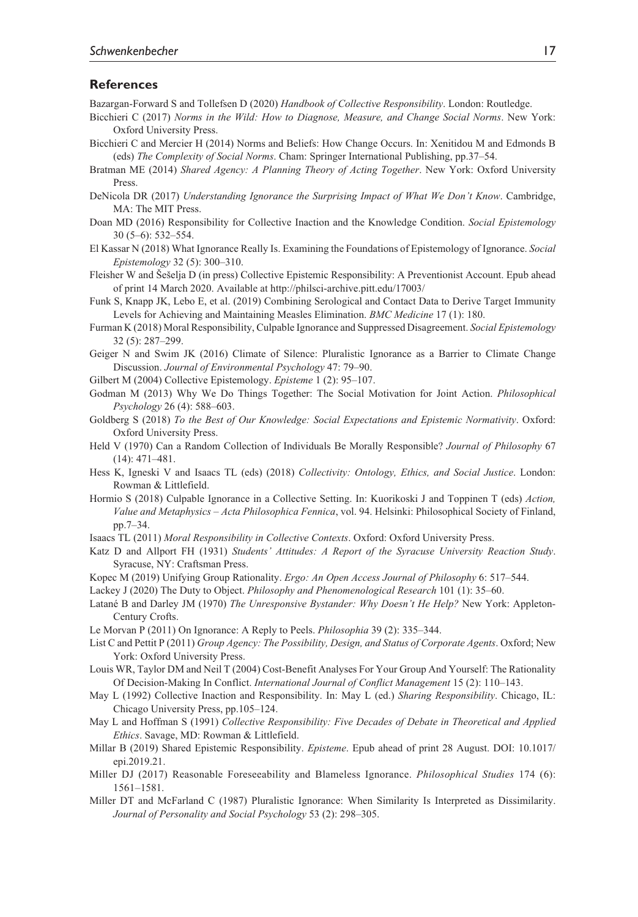#### **References**

Bazargan-Forward S and Tollefsen D (2020) *Handbook of Collective Responsibility*. London: Routledge.

- Bicchieri C (2017) *Norms in the Wild: How to Diagnose, Measure, and Change Social Norms*. New York: Oxford University Press.
- Bicchieri C and Mercier H (2014) Norms and Beliefs: How Change Occurs. In: Xenitidou M and Edmonds B (eds) *The Complexity of Social Norms*. Cham: Springer International Publishing, pp.37–54.
- Bratman ME (2014) *Shared Agency: A Planning Theory of Acting Together*. New York: Oxford University Press.
- DeNicola DR (2017) *Understanding Ignorance the Surprising Impact of What We Don't Know*. Cambridge, MA: The MIT Press.
- Doan MD (2016) Responsibility for Collective Inaction and the Knowledge Condition. *Social Epistemology* 30 (5–6): 532–554.
- El Kassar N (2018) What Ignorance Really Is. Examining the Foundations of Epistemology of Ignorance. *Social Epistemology* 32 (5): 300–310.
- Fleisher W and Šešelja D (in press) Collective Epistemic Responsibility: A Preventionist Account. Epub ahead of print 14 March 2020. Available at <http://philsci-archive.pitt.edu/17003/>
- Funk S, Knapp JK, Lebo E, et al. (2019) Combining Serological and Contact Data to Derive Target Immunity Levels for Achieving and Maintaining Measles Elimination. *BMC Medicine* 17 (1): 180.
- Furman K (2018) Moral Responsibility, Culpable Ignorance and Suppressed Disagreement. *Social Epistemology* 32 (5): 287–299.
- Geiger N and Swim JK (2016) Climate of Silence: Pluralistic Ignorance as a Barrier to Climate Change Discussion. *Journal of Environmental Psychology* 47: 79–90.
- Gilbert M (2004) Collective Epistemology. *Episteme* 1 (2): 95–107.
- Godman M (2013) Why We Do Things Together: The Social Motivation for Joint Action. *Philosophical Psychology* 26 (4): 588–603.
- Goldberg S (2018) *To the Best of Our Knowledge: Social Expectations and Epistemic Normativity*. Oxford: Oxford University Press.
- Held V (1970) Can a Random Collection of Individuals Be Morally Responsible? *Journal of Philosophy* 67 (14): 471–481.
- Hess K, Igneski V and Isaacs TL (eds) (2018) *Collectivity: Ontology, Ethics, and Social Justice*. London: Rowman & Littlefield.
- Hormio S (2018) Culpable Ignorance in a Collective Setting. In: Kuorikoski J and Toppinen T (eds) *Action, Value and Metaphysics – Acta Philosophica Fennica*, vol. 94. Helsinki: Philosophical Society of Finland, pp.7–34.
- Isaacs TL (2011) *Moral Responsibility in Collective Contexts*. Oxford: Oxford University Press.
- Katz D and Allport FH (1931) *Students' Attitudes: A Report of the Syracuse University Reaction Study*. Syracuse, NY: Craftsman Press.
- Kopec M (2019) Unifying Group Rationality. *Ergo: An Open Access Journal of Philosophy* 6: 517–544.
- Lackey J (2020) The Duty to Object. *Philosophy and Phenomenological Research* 101 (1): 35–60.
- Latané B and Darley JM (1970) *The Unresponsive Bystander: Why Doesn't He Help?* New York: Appleton-Century Crofts.
- Le Morvan P (2011) On Ignorance: A Reply to Peels. *Philosophia* 39 (2): 335–344.
- List C and Pettit P (2011) *Group Agency: The Possibility, Design, and Status of Corporate Agents*. Oxford; New York: Oxford University Press.
- Louis WR, Taylor DM and Neil T (2004) Cost-Benefit Analyses For Your Group And Yourself: The Rationality Of Decision-Making In Conflict. *International Journal of Conflict Management* 15 (2): 110–143.
- May L (1992) Collective Inaction and Responsibility. In: May L (ed.) *Sharing Responsibility*. Chicago, IL: Chicago University Press, pp.105–124.
- May L and Hoffman S (1991) *Collective Responsibility: Five Decades of Debate in Theoretical and Applied Ethics*. Savage, MD: Rowman & Littlefield.
- Millar B (2019) Shared Epistemic Responsibility. *Episteme*. Epub ahead of print 28 August. DOI: 10.1017/ epi.2019.21.
- Miller DJ (2017) Reasonable Foreseeability and Blameless Ignorance. *Philosophical Studies* 174 (6): 1561–1581.
- Miller DT and McFarland C (1987) Pluralistic Ignorance: When Similarity Is Interpreted as Dissimilarity. *Journal of Personality and Social Psychology* 53 (2): 298–305.